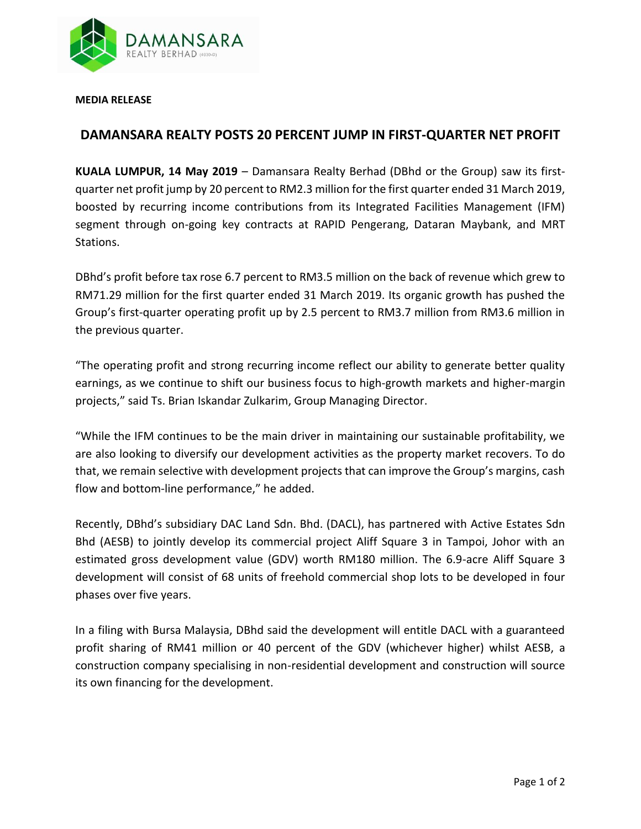

**MEDIA RELEASE** 

## **DAMANSARA REALTY POSTS 20 PERCENT JUMP IN FIRST-QUARTER NET PROFIT**

**KUALA LUMPUR, 14 May 2019** – Damansara Realty Berhad (DBhd or the Group) saw its firstquarter net profit jump by 20 percent to RM2.3 million for the first quarter ended 31 March 2019, boosted by recurring income contributions from its Integrated Facilities Management (IFM) segment through on-going key contracts at RAPID Pengerang, Dataran Maybank, and MRT Stations.

DBhd's profit before tax rose 6.7 percent to RM3.5 million on the back of revenue which grew to RM71.29 million for the first quarter ended 31 March 2019. Its organic growth has pushed the Group's first-quarter operating profit up by 2.5 percent to RM3.7 million from RM3.6 million in the previous quarter.

"The operating profit and strong recurring income reflect our ability to generate better quality earnings, as we continue to shift our business focus to high-growth markets and higher-margin projects," said Ts. Brian Iskandar Zulkarim, Group Managing Director.

"While the IFM continues to be the main driver in maintaining our sustainable profitability, we are also looking to diversify our development activities as the property market recovers. To do that, we remain selective with development projects that can improve the Group's margins, cash flow and bottom-line performance," he added.

Recently, DBhd's subsidiary DAC Land Sdn. Bhd. (DACL), has partnered with Active Estates Sdn Bhd (AESB) to jointly develop its commercial project Aliff Square 3 in Tampoi, Johor with an estimated gross development value (GDV) worth RM180 million. The 6.9-acre Aliff Square 3 development will consist of 68 units of freehold commercial shop lots to be developed in four phases over five years.

In a filing with Bursa Malaysia, DBhd said the development will entitle DACL with a guaranteed profit sharing of RM41 million or 40 percent of the GDV (whichever higher) whilst AESB, a construction company specialising in non-residential development and construction will source its own financing for the development.